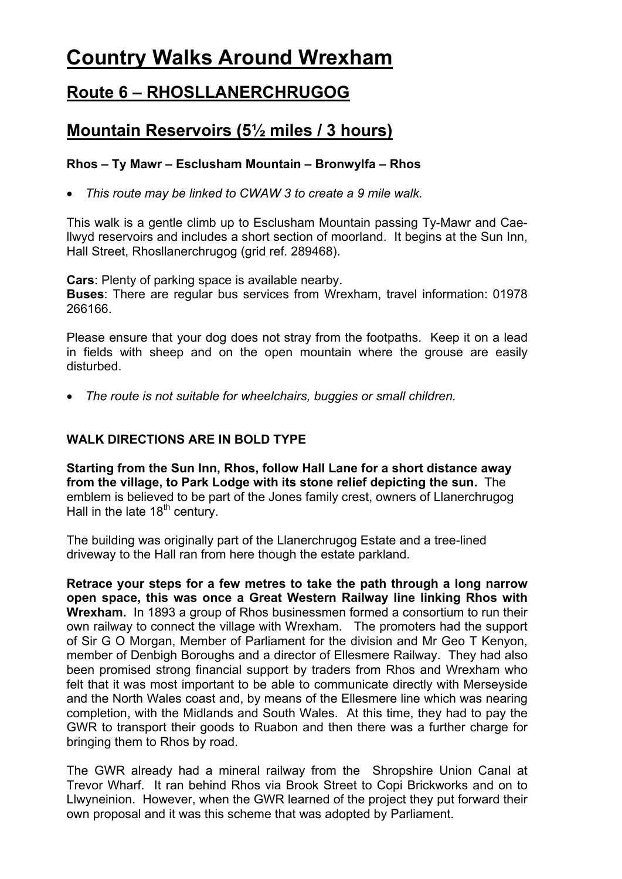# **Country Walks Around Wrexham**

## **Route 6 – RHOSLLANERCHRUGOG**

## **Mountain Reservoirs (5½ miles / 3 hours)**

### **Rhos – Ty Mawr – Esclusham Mountain – Bronwylfa – Rhos**

*This route may be linked to CWAW 3 to create a 9 mile walk.* 

This walk is a gentle climb up to Esclusham Mountain passing Ty-Mawr and Caellwyd reservoirs and includes a short section of moorland. It begins at the Sun Inn, Hall Street, Rhosllanerchrugog (grid ref. 289468).

**Cars**: Plenty of parking space is available nearby. **Buses**: There are regular bus services from Wrexham, travel information: 01978 266166.

Please ensure that your dog does not stray from the footpaths. Keep it on a lead in fields with sheep and on the open mountain where the grouse are easily disturbed.

*The route is not suitable for wheelchairs, buggies or small children.* 

#### **WALK DIRECTIONS ARE IN BOLD TYPE**

**Starting from the Sun Inn, Rhos, follow Hall Lane for a short distance away from the village, to Park Lodge with its stone relief depicting the sun.** The emblem is believed to be part of the Jones family crest, owners of Llanerchrugog Hall in the late  $18<sup>th</sup>$  century.

The building was originally part of the Llanerchrugog Estate and a tree-lined driveway to the Hall ran from here though the estate parkland.

**Retrace your steps for a few metres to take the path through a long narrow open space, this was once a Great Western Railway line linking Rhos with Wrexham.** In 1893 a group of Rhos businessmen formed a consortium to run their own railway to connect the village with Wrexham. The promoters had the support of Sir G O Morgan, Member of Parliament for the division and Mr Geo T Kenyon, member of Denbigh Boroughs and a director of Ellesmere Railway. They had also been promised strong financial support by traders from Rhos and Wrexham who felt that it was most important to be able to communicate directly with Merseyside and the North Wales coast and, by means of the Ellesmere line which was nearing completion, with the Midlands and South Wales. At this time, they had to pay the GWR to transport their goods to Ruabon and then there was a further charge for bringing them to Rhos by road.

The GWR already had a mineral railway from the Shropshire Union Canal at Trevor Wharf. It ran behind Rhos via Brook Street to Copi Brickworks and on to Llwyneinion. However, when the GWR learned of the project they put forward their own proposal and it was this scheme that was adopted by Parliament.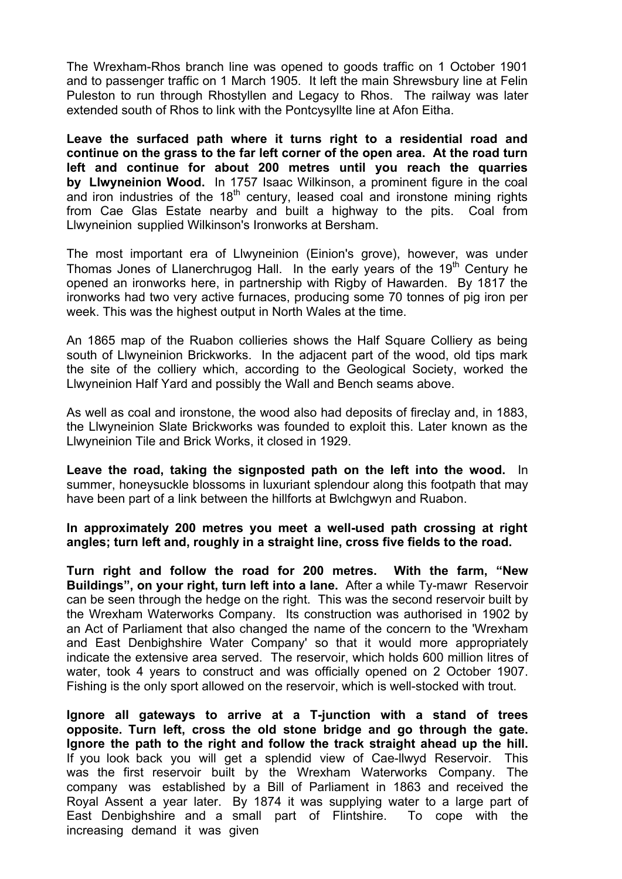The Wrexham-Rhos branch line was opened to goods traffic on 1 October 1901 and to passenger traffic on 1 March 1905. It left the main Shrewsbury line at Felin Puleston to run through Rhostyllen and Legacy to Rhos. The railway was later extended south of Rhos to link with the Pontcysyllte line at Afon Eitha.

**Leave the surfaced path where it turns right to a residential road and continue on the grass to the far left corner of the open area. At the road turn left and continue for about 200 metres until you reach the quarries by Llwyneinion Wood.** In 1757 Isaac Wilkinson, a prominent figure in the coal and iron industries of the  $18<sup>th</sup>$  century, leased coal and ironstone mining rights from Cae Glas Estate nearby and built a highway to the pits. Coal from Llwyneinion supplied Wilkinson's Ironworks at Bersham.

The most important era of Llwyneinion (Einion's grove), however, was under Thomas Jones of Llanerchrugog Hall. In the early years of the  $19<sup>th</sup>$  Century he opened an ironworks here, in partnership with Rigby of Hawarden. By 1817 the ironworks had two very active furnaces, producing some 70 tonnes of pig iron per week. This was the highest output in North Wales at the time.

An 1865 map of the Ruabon collieries shows the Half Square Colliery as being south of Llwyneinion Brickworks. In the adjacent part of the wood, old tips mark the site of the colliery which, according to the Geological Society, worked the Llwyneinion Half Yard and possibly the Wall and Bench seams above.

As well as coal and ironstone, the wood also had deposits of fireclay and, in 1883, the Llwyneinion Slate Brickworks was founded to exploit this. Later known as the Llwyneinion Tile and Brick Works, it closed in 1929.

**Leave the road, taking the signposted path on the left into the wood.** In summer, honeysuckle blossoms in luxuriant splendour along this footpath that may have been part of a link between the hillforts at Bwlchgwyn and Ruabon.

**In approximately 200 metres you meet a well-used path crossing at right angles; turn left and, roughly in a straight line, cross five fields to the road.** 

 water, took 4 years to construct and was officially opened on 2 October 1907. **Turn right and follow the road for 200 metres. With the farm, "New Buildings", on your right, turn left into a lane.** After a while Ty-mawr Reservoir can be seen through the hedge on the right. This was the second reservoir built by the Wrexham Waterworks Company. Its construction was authorised in 1902 by an Act of Parliament that also changed the name of the concern to the 'Wrexham and East Denbighshire Water Company' so that it would more appropriately indicate the extensive area served. The reservoir, which holds 600 million litres of Fishing is the only sport allowed on the reservoir, which is well-stocked with trout.

**Ignore all gateways to arrive at a T-junction with a stand of trees opposite. Turn left, cross the old stone bridge and go through the gate. Ignore the path to the right and follow the track straight ahead up the hill.** If you look back you will get a splendid view of Cae-llwyd Reservoir. This was the first reservoir built by the Wrexham Waterworks Company. The company was established by a Bill of Parliament in 1863 and received the Royal Assent a year later. By 1874 it was supplying water to a large part of East Denbighshire and a small part of Flintshire. To cope with the increasing demand it was given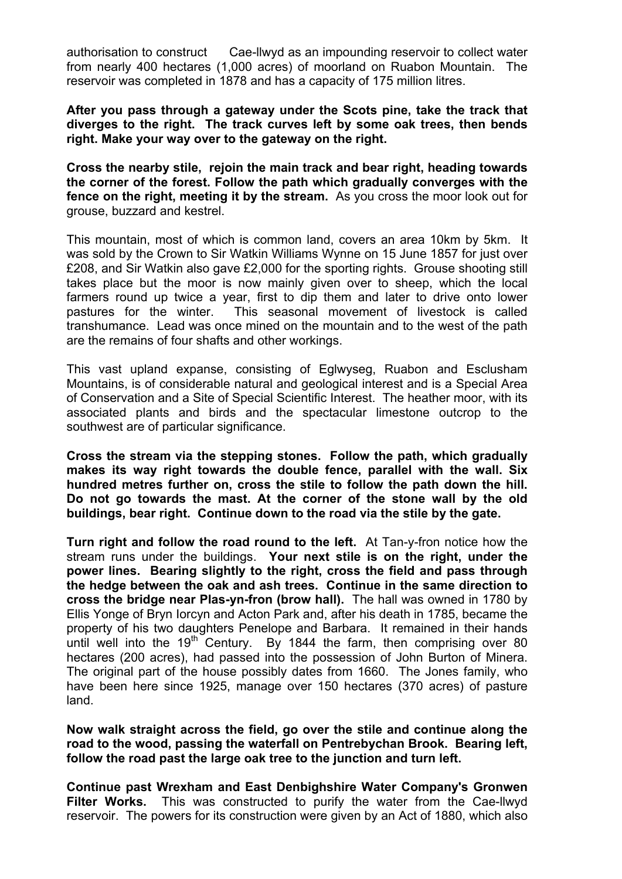authorisation to construct Cae-llwyd as an impounding reservoir to collect water from nearly 400 hectares (1,000 acres) of moorland on Ruabon Mountain. The reservoir was completed in 1878 and has a capacity of 175 million litres.

**After you pass through a gateway under the Scots pine, take the track that diverges to the right. The track curves left by some oak trees, then bends right. Make your way over to the gateway on the right.** 

**Cross the nearby stile, rejoin the main track and bear right, heading towards the corner of the forest. Follow the path which gradually converges with the fence on the right, meeting it by the stream.** As you cross the moor look out for grouse, buzzard and kestrel.

This mountain, most of which is common land, covers an area 10km by 5km. It was sold by the Crown to Sir Watkin Williams Wynne on 15 June 1857 for just over £208, and Sir Watkin also gave £2,000 for the sporting rights. Grouse shooting still takes place but the moor is now mainly given over to sheep, which the local farmers round up twice a year, first to dip them and later to drive onto lower pastures for the winter. This seasonal movement of livestock is called transhumance. Lead was once mined on the mountain and to the west of the path are the remains of four shafts and other workings.

This vast upland expanse, consisting of Eglwyseg, Ruabon and Esclusham Mountains, is of considerable natural and geological interest and is a Special Area of Conservation and a Site of Special Scientific Interest. The heather moor, with its associated plants and birds and the spectacular limestone outcrop to the southwest are of particular significance.

**Cross the stream via the stepping stones. Follow the path, which gradually makes its way right towards the double fence, parallel with the wall. Six hundred metres further on, cross the stile to follow the path down the hill. Do not go towards the mast. At the corner of the stone wall by the old buildings, bear right. Continue down to the road via the stile by the gate.** 

**Turn right and follow the road round to the left.** At Tan-y-fron notice how the stream runs under the buildings. **Your next stile is on the right, under the power lines. Bearing slightly to the right, cross the field and pass through the hedge between the oak and ash trees. Continue in the same direction to cross the bridge near Plas-yn-fron (brow hall).** The hall was owned in 1780 by Ellis Yonge of Bryn Iorcyn and Acton Park and, after his death in 1785, became the property of his two daughters Penelope and Barbara. It remained in their hands until well into the 19<sup>th</sup> Century. By 1844 the farm, then comprising over 80 hectares (200 acres), had passed into the possession of John Burton of Minera. The original part of the house possibly dates from 1660. The Jones family, who have been here since 1925, manage over 150 hectares (370 acres) of pasture land.

**Now walk straight across the field, go over the stile and continue along the road to the wood, passing the waterfall on Pentrebychan Brook. Bearing left, follow the road past the large oak tree to the junction and turn left.** 

**Continue past Wrexham and East Denbighshire Water Company's Gronwen Filter Works.** This was constructed to purify the water from the Cae-llwyd reservoir. The powers for its construction were given by an Act of 1880, which also